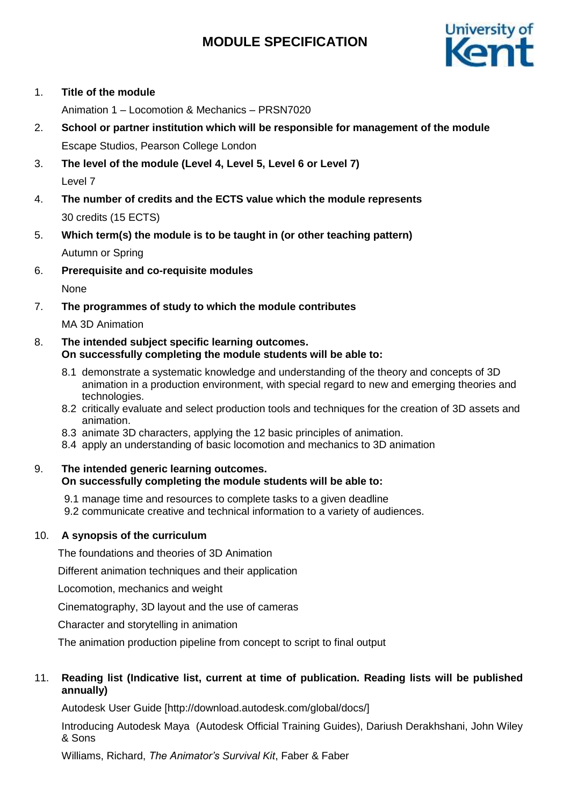# **MODULE SPECIFICATION**



## 1. **Title of the module**

Animation 1 – Locomotion & Mechanics – PRSN7020

- 2. **School or partner institution which will be responsible for management of the module** Escape Studios, Pearson College London
- 3. **The level of the module (Level 4, Level 5, Level 6 or Level 7)** Level 7
- 4. **The number of credits and the ECTS value which the module represents**  30 credits (15 ECTS)
- 5. **Which term(s) the module is to be taught in (or other teaching pattern)** Autumn or Spring
- 6. **Prerequisite and co-requisite modules**

None

7. **The programmes of study to which the module contributes**

MA 3D Animation

### 8. **The intended subject specific learning outcomes. On successfully completing the module students will be able to:**

- 8.1 demonstrate a systematic knowledge and understanding of the theory and concepts of 3D animation in a production environment, with special regard to new and emerging theories and technologies.
- 8.2 critically evaluate and select production tools and techniques for the creation of 3D assets and animation.
- 8.3 animate 3D characters, applying the 12 basic principles of animation.
- 8.4 apply an understanding of basic locomotion and mechanics to 3D animation

## 9. **The intended generic learning outcomes. On successfully completing the module students will be able to:**

- 9.1 manage time and resources to complete tasks to a given deadline
- 9.2 communicate creative and technical information to a variety of audiences.

# 10. **A synopsis of the curriculum**

The foundations and theories of 3D Animation

Different animation techniques and their application

Locomotion, mechanics and weight

Cinematography, 3D layout and the use of cameras

Character and storytelling in animation

The animation production pipeline from concept to script to final output

# 11. **Reading list (Indicative list, current at time of publication. Reading lists will be published annually)**

Autodesk User Guide [http://download.autodesk.com/global/docs/]

Introducing Autodesk Maya (Autodesk Official Training Guides), Dariush Derakhshani, John Wiley & Sons

Williams, Richard, *The Animator's Survival Kit*, Faber & Faber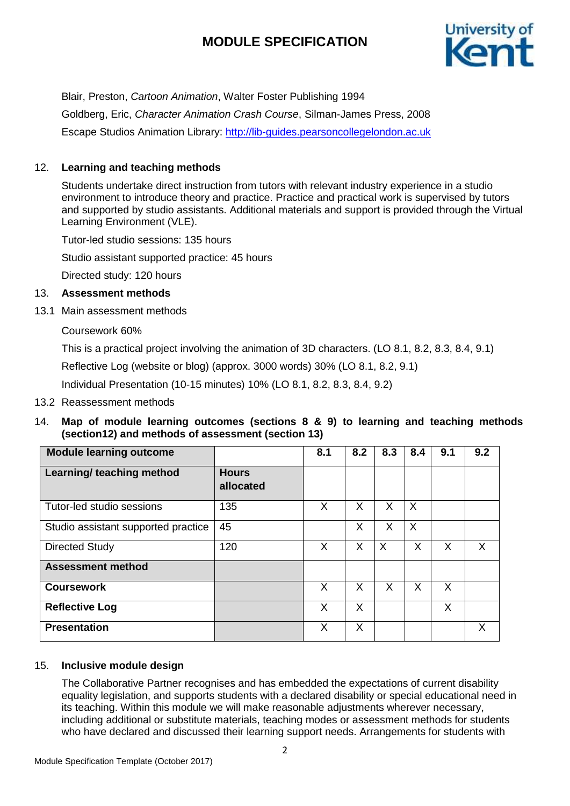# **MODULE SPECIFICATION**



Blair, Preston, *Cartoon Animation*, Walter Foster Publishing 1994 Goldberg, Eric, *Character Animation Crash Course*, Silman-James Press, 2008 Escape Studios Animation Library: [http://lib-guides.pearsoncollegelondon.ac.uk](https://urldefense.proofpoint.com/v2/url?u=http-3A__lib-2Dguides.pearsoncollegelondon.ac.uk&d=DwMFaQ&c=0YLnzTkWOdJlub_y7qAx8Q&r=SpDSvozb703YwkXZ2yDQYI1lZ4AMWS_xY3tIzXhDKRM&m=Wo7EOP_-8zVCHZXwF_I5sDe9ZB-grFmVDA3TdcQblIY&s=WU9Q4fPopBQT9LD44xKhkKjXmHBxHntpfyVFWcTzTk8&e=)

## 12. **Learning and teaching methods**

Students undertake direct instruction from tutors with relevant industry experience in a studio environment to introduce theory and practice. Practice and practical work is supervised by tutors and supported by studio assistants. Additional materials and support is provided through the Virtual Learning Environment (VLE).

Tutor-led studio sessions: 135 hours

Studio assistant supported practice: 45 hours

Directed study: 120 hours

#### 13. **Assessment methods**

13.1 Main assessment methods

Coursework 60%

This is a practical project involving the animation of 3D characters. (LO 8.1, 8.2, 8.3, 8.4, 9.1)

Reflective Log (website or blog) (approx. 3000 words) 30% (LO 8.1, 8.2, 9.1)

Individual Presentation (10-15 minutes) 10% (LO 8.1, 8.2, 8.3, 8.4, 9.2)

13.2 Reassessment methods

## 14. **Map of module learning outcomes (sections 8 & 9) to learning and teaching methods (section12) and methods of assessment (section 13)**

| <b>Module learning outcome</b>      |                           | 8.1 | 8.2 | 8.3     | 8.4     | 9.1 | 9.2 |
|-------------------------------------|---------------------------|-----|-----|---------|---------|-----|-----|
| Learning/ teaching method           | <b>Hours</b><br>allocated |     |     |         |         |     |     |
| Tutor-led studio sessions           | 135                       | X   | X   | X       | $\sf X$ |     |     |
| Studio assistant supported practice | 45                        |     | X   | X       | $\sf X$ |     |     |
| <b>Directed Study</b>               | 120                       | X   | X   | $\sf X$ | X       | X   | X   |
| <b>Assessment method</b>            |                           |     |     |         |         |     |     |
| <b>Coursework</b>                   |                           | X   | X   | X       | X       | X   |     |
| <b>Reflective Log</b>               |                           | X   | X   |         |         | X   |     |
| <b>Presentation</b>                 |                           | X   | X   |         |         |     | Х   |

## 15. **Inclusive module design**

The Collaborative Partner recognises and has embedded the expectations of current disability equality legislation, and supports students with a declared disability or special educational need in its teaching. Within this module we will make reasonable adjustments wherever necessary, including additional or substitute materials, teaching modes or assessment methods for students who have declared and discussed their learning support needs. Arrangements for students with